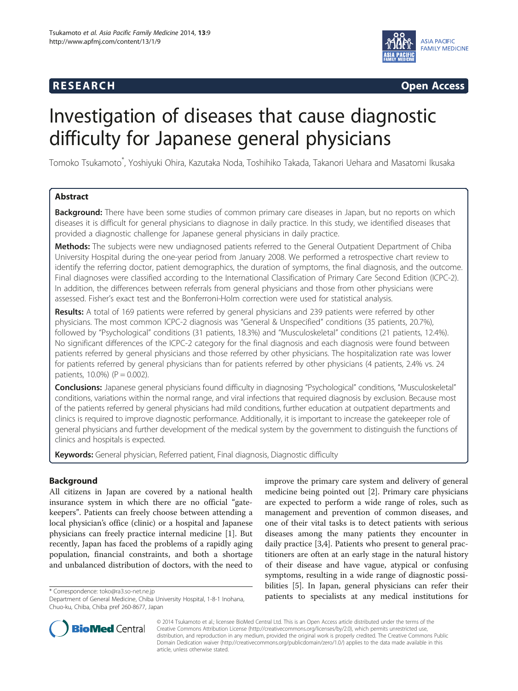# **RESEARCH CHINESEARCH CHINESEARCH CHINESE**



# Investigation of diseases that cause diagnostic difficulty for Japanese general physicians

Tomoko Tsukamoto\* , Yoshiyuki Ohira, Kazutaka Noda, Toshihiko Takada, Takanori Uehara and Masatomi Ikusaka

# Abstract

Background: There have been some studies of common primary care diseases in Japan, but no reports on which diseases it is difficult for general physicians to diagnose in daily practice. In this study, we identified diseases that provided a diagnostic challenge for Japanese general physicians in daily practice.

Methods: The subjects were new undiagnosed patients referred to the General Outpatient Department of Chiba University Hospital during the one-year period from January 2008. We performed a retrospective chart review to identify the referring doctor, patient demographics, the duration of symptoms, the final diagnosis, and the outcome. Final diagnoses were classified according to the International Classification of Primary Care Second Edition (ICPC-2). In addition, the differences between referrals from general physicians and those from other physicians were assessed. Fisher's exact test and the Bonferroni-Holm correction were used for statistical analysis.

Results: A total of 169 patients were referred by general physicians and 239 patients were referred by other physicians. The most common ICPC-2 diagnosis was "General & Unspecified" conditions (35 patients, 20.7%), followed by "Psychological" conditions (31 patients, 18.3%) and "Musculoskeletal" conditions (21 patients, 12.4%). No significant differences of the ICPC-2 category for the final diagnosis and each diagnosis were found between patients referred by general physicians and those referred by other physicians. The hospitalization rate was lower for patients referred by general physicians than for patients referred by other physicians (4 patients, 2.4% vs. 24 patients,  $10.0\%$ ) ( $P = 0.002$ ).

Conclusions: Japanese general physicians found difficulty in diagnosing "Psychological" conditions, "Musculoskeletal" conditions, variations within the normal range, and viral infections that required diagnosis by exclusion. Because most of the patients referred by general physicians had mild conditions, further education at outpatient departments and clinics is required to improve diagnostic performance. Additionally, it is important to increase the gatekeeper role of general physicians and further development of the medical system by the government to distinguish the functions of clinics and hospitals is expected.

Keywords: General physician, Referred patient, Final diagnosis, Diagnostic difficulty

# Background

All citizens in Japan are covered by a national health insurance system in which there are no official "gatekeepers". Patients can freely choose between attending a local physician's office (clinic) or a hospital and Japanese physicians can freely practice internal medicine [\[1](#page-5-0)]. But recently, Japan has faced the problems of a rapidly aging population, financial constraints, and both a shortage and unbalanced distribution of doctors, with the need to

improve the primary care system and delivery of general medicine being pointed out [\[2](#page-5-0)]. Primary care physicians are expected to perform a wide range of roles, such as management and prevention of common diseases, and one of their vital tasks is to detect patients with serious diseases among the many patients they encounter in daily practice [\[3,4\]](#page-5-0). Patients who present to general practitioners are often at an early stage in the natural history of their disease and have vague, atypical or confusing symptoms, resulting in a wide range of diagnostic possibilities [\[5](#page-5-0)]. In Japan, general physicians can refer their \* Correspondence: [toko@ra3.so-net.ne.jp](mailto:toko@ra3.so-net.ne.jp)<br>Department of General Medicine Chiba University Hospital 1-8-1 Inohana **patients to specialists at any medical institutions for** 



© 2014 Tsukamoto et al.; licensee BioMed Central Ltd. This is an Open Access article distributed under the terms of the Creative Commons Attribution License (<http://creativecommons.org/licenses/by/2.0>), which permits unrestricted use, distribution, and reproduction in any medium, provided the original work is properly credited. The Creative Commons Public Domain Dedication waiver [\(http://creativecommons.org/publicdomain/zero/1.0/\)](http://creativecommons.org/publicdomain/zero/1.0/) applies to the data made available in this article, unless otherwise stated.

Department of General Medicine, Chiba University Hospital, 1-8-1 Inohana, Chuo-ku, Chiba, Chiba pref 260-8677, Japan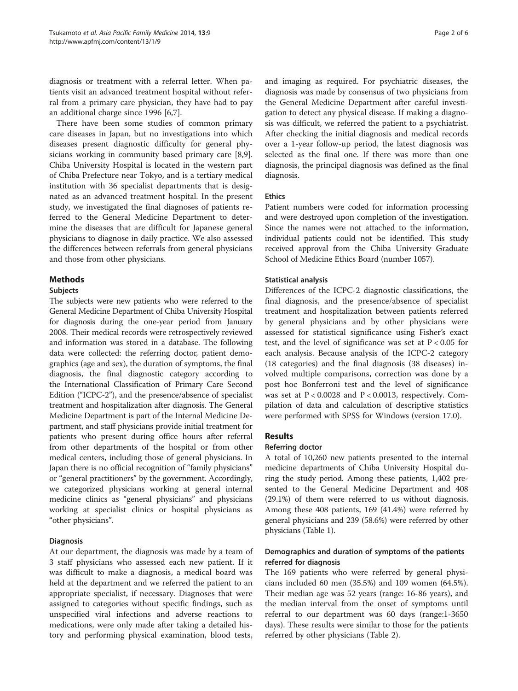diagnosis or treatment with a referral letter. When patients visit an advanced treatment hospital without referral from a primary care physician, they have had to pay an additional charge since 1996 [\[6,7\]](#page-5-0).

There have been some studies of common primary care diseases in Japan, but no investigations into which diseases present diagnostic difficulty for general physicians working in community based primary care [\[8,9](#page-5-0)]. Chiba University Hospital is located in the western part of Chiba Prefecture near Tokyo, and is a tertiary medical institution with 36 specialist departments that is designated as an advanced treatment hospital. In the present study, we investigated the final diagnoses of patients referred to the General Medicine Department to determine the diseases that are difficult for Japanese general physicians to diagnose in daily practice. We also assessed the differences between referrals from general physicians and those from other physicians.

# Methods

# Subjects

The subjects were new patients who were referred to the General Medicine Department of Chiba University Hospital for diagnosis during the one-year period from January 2008. Their medical records were retrospectively reviewed and information was stored in a database. The following data were collected: the referring doctor, patient demographics (age and sex), the duration of symptoms, the final diagnosis, the final diagnostic category according to the International Classification of Primary Care Second Edition ("ICPC-2"), and the presence/absence of specialist treatment and hospitalization after diagnosis. The General Medicine Department is part of the Internal Medicine Department, and staff physicians provide initial treatment for patients who present during office hours after referral from other departments of the hospital or from other medical centers, including those of general physicians. In Japan there is no official recognition of "family physicians" or "general practitioners" by the government. Accordingly, we categorized physicians working at general internal medicine clinics as "general physicians" and physicians working at specialist clinics or hospital physicians as "other physicians".

# Diagnosis

At our department, the diagnosis was made by a team of 3 staff physicians who assessed each new patient. If it was difficult to make a diagnosis, a medical board was held at the department and we referred the patient to an appropriate specialist, if necessary. Diagnoses that were assigned to categories without specific findings, such as unspecified viral infections and adverse reactions to medications, were only made after taking a detailed history and performing physical examination, blood tests,

and imaging as required. For psychiatric diseases, the diagnosis was made by consensus of two physicians from the General Medicine Department after careful investigation to detect any physical disease. If making a diagnosis was difficult, we referred the patient to a psychiatrist. After checking the initial diagnosis and medical records over a 1-year follow-up period, the latest diagnosis was selected as the final one. If there was more than one diagnosis, the principal diagnosis was defined as the final diagnosis.

# Ethics

Patient numbers were coded for information processing and were destroyed upon completion of the investigation. Since the names were not attached to the information, individual patients could not be identified. This study received approval from the Chiba University Graduate School of Medicine Ethics Board (number 1057).

# Statistical analysis

Differences of the ICPC-2 diagnostic classifications, the final diagnosis, and the presence/absence of specialist treatment and hospitalization between patients referred by general physicians and by other physicians were assessed for statistical significance using Fisher's exact test, and the level of significance was set at  $P < 0.05$  for each analysis. Because analysis of the ICPC-2 category (18 categories) and the final diagnosis (38 diseases) involved multiple comparisons, correction was done by a post hoc Bonferroni test and the level of significance was set at  $P < 0.0028$  and  $P < 0.0013$ , respectively. Compilation of data and calculation of descriptive statistics were performed with SPSS for Windows (version 17.0).

# Results

#### Referring doctor

A total of 10,260 new patients presented to the internal medicine departments of Chiba University Hospital during the study period. Among these patients, 1,402 presented to the General Medicine Department and 408 (29.1%) of them were referred to us without diagnosis. Among these 408 patients, 169 (41.4%) were referred by general physicians and 239 (58.6%) were referred by other physicians (Table [1\)](#page-2-0).

# Demographics and duration of symptoms of the patients referred for diagnosis

The 169 patients who were referred by general physicians included 60 men (35.5%) and 109 women (64.5%). Their median age was 52 years (range: 16-86 years), and the median interval from the onset of symptoms until referral to our department was 60 days (range:1-3650 days). These results were similar to those for the patients referred by other physicians (Table [2\)](#page-2-0).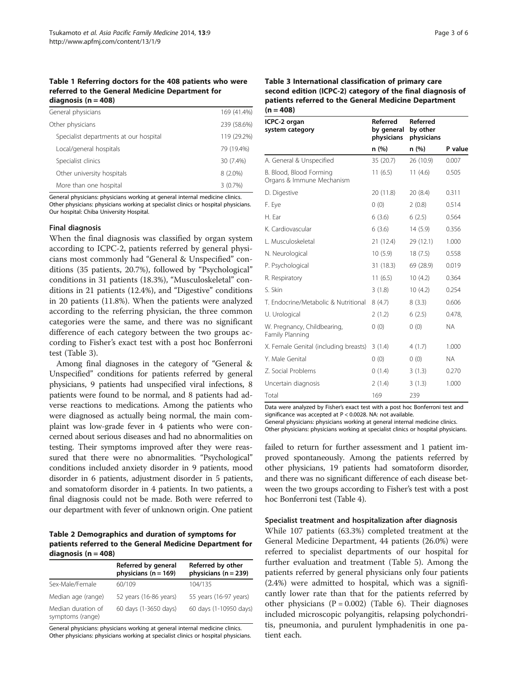#### <span id="page-2-0"></span>Table 1 Referring doctors for the 408 patients who were referred to the General Medicine Department for diagnosis ( $n = 408$ )

| General physicians |                                        | 169 (41.4%) |
|--------------------|----------------------------------------|-------------|
|                    | Other physicians                       | 239 (58.6%) |
|                    | Specialist departments at our hospital | 119 (29.2%) |
|                    | Local/general hospitals                | 79 (19.4%)  |
|                    | Specialist clinics                     | 30 (7.4%)   |
|                    | Other university hospitals             | $8(2.0\%)$  |
|                    | More than one hospital                 | $3(0.7\%)$  |

General physicians: physicians working at general internal medicine clinics. Other physicians: physicians working at specialist clinics or hospital physicians. Our hospital: Chiba University Hospital.

#### Final diagnosis

When the final diagnosis was classified by organ system according to ICPC-2, patients referred by general physicians most commonly had "General & Unspecified" conditions (35 patients, 20.7%), followed by "Psychological" conditions in 31 patients (18.3%), "Musculoskeletal" conditions in 21 patients (12.4%), and "Digestive" conditions in 20 patients (11.8%). When the patients were analyzed according to the referring physician, the three common categories were the same, and there was no significant difference of each category between the two groups according to Fisher's exact test with a post hoc Bonferroni test (Table 3).

Among final diagnoses in the category of "General & Unspecified" conditions for patients referred by general physicians, 9 patients had unspecified viral infections, 8 patients were found to be normal, and 8 patients had adverse reactions to medications. Among the patients who were diagnosed as actually being normal, the main complaint was low-grade fever in 4 patients who were concerned about serious diseases and had no abnormalities on testing. Their symptoms improved after they were reassured that there were no abnormalities. "Psychological" conditions included anxiety disorder in 9 patients, mood disorder in 6 patients, adjustment disorder in 5 patients, and somatoform disorder in 4 patients. In two patients, a final diagnosis could not be made. Both were referred to our department with fever of unknown origin. One patient

Table 2 Demographics and duration of symptoms for patients referred to the General Medicine Department for diagnosis ( $n = 408$ )

|                                        | Referred by general<br>physicians ( $n = 169$ ) | Referred by other<br>physicians ( $n = 239$ ) |
|----------------------------------------|-------------------------------------------------|-----------------------------------------------|
| Sex-Male/Female                        | 60/109                                          | 104/135                                       |
| Median age (range)                     | 52 years (16-86 years)                          | 55 years (16-97 years)                        |
| Median duration of<br>symptoms (range) | 60 days (1-3650 days)                           | 60 days (1-10950 days)                        |

General physicians: physicians working at general internal medicine clinics. Other physicians: physicians working at specialist clinics or hospital physicians.

#### Table 3 International classification of primary care second edition (ICPC-2) category of the final diagnosis of patients referred to the General Medicine Department  $(n = 408)$

| ICPC-2 organ<br>system category                      | Referred<br>by general<br>physicians | Referred<br>by other<br>physicians |         |
|------------------------------------------------------|--------------------------------------|------------------------------------|---------|
|                                                      | n (%)                                | n (%)                              | P value |
| A. General & Unspecified                             | 35 (20.7)                            | 26 (10.9)                          | 0.007   |
| B. Blood, Blood Forming<br>Organs & Immune Mechanism | 11(6.5)                              | 11(4.6)                            | 0.505   |
| D. Digestive                                         | 20 (11.8)                            | 20(8.4)                            | 0.311   |
| F. Eye                                               | 0(0)                                 | 2(0.8)                             | 0.514   |
| H. Far                                               | 6(3.6)                               | 6(2.5)                             | 0.564   |
| K. Cardiovascular                                    | 6(3.6)                               | 14(5.9)                            | 0.356   |
| L. Musculoskeletal                                   | 21 (12.4)                            | 29 (12.1)                          | 1.000   |
| N. Neurological                                      | 10(5.9)                              | 18(7.5)                            | 0.558   |
| P. Psychological                                     | 31 (18.3)                            | 69 (28.9)                          | 0.019   |
| R. Respiratory                                       | 11(6.5)                              | 10(4.2)                            | 0.364   |
| S. Skin                                              | 3(1.8)                               | 10(4.2)                            | 0.254   |
| T. Endocrine/Metabolic & Nutritional                 | 8(4.7)                               | 8(3.3)                             | 0.606   |
| U. Urological                                        | 2(1.2)                               | 6(2.5)                             | 0.478.  |
| W. Pregnancy, Childbearing,<br>Family Planning       | 0(0)                                 | 0(0)                               | NA.     |
| X. Female Genital (including breasts)                | 3(1.4)                               | 4(1.7)                             | 1.000   |
| Y. Male Genital                                      | 0(0)                                 | 0(0)                               | NA.     |
| Z. Social Problems                                   | 0(1.4)                               | 3(1.3)                             | 0.270   |
| Uncertain diagnosis                                  | 2(1.4)                               | 3(1.3)                             | 1.000   |
| Total                                                | 169                                  | 239                                |         |

Data were analyzed by Fisher's exact test with a post hoc Bonferroni test and significance was accepted at P < 0.0028. NA: not available.

General physicians: physicians working at general internal medicine clinics. Other physicians: physicians working at specialist clinics or hospital physicians.

failed to return for further assessment and 1 patient improved spontaneously. Among the patients referred by other physicians, 19 patients had somatoform disorder, and there was no significant difference of each disease between the two groups according to Fisher's test with a post hoc Bonferroni test (Table [4](#page-3-0)).

#### Specialist treatment and hospitalization after diagnosis

While 107 patients (63.3%) completed treatment at the General Medicine Department, 44 patients (26.0%) were referred to specialist departments of our hospital for further evaluation and treatment (Table [5\)](#page-3-0). Among the patients referred by general physicians only four patients (2.4%) were admitted to hospital, which was a significantly lower rate than that for the patients referred by other physicians  $(P = 0.002)$  (Table [6\)](#page-4-0). Their diagnoses included microscopic polyangitis, relapsing polychondritis, pneumonia, and purulent lymphadenitis in one patient each.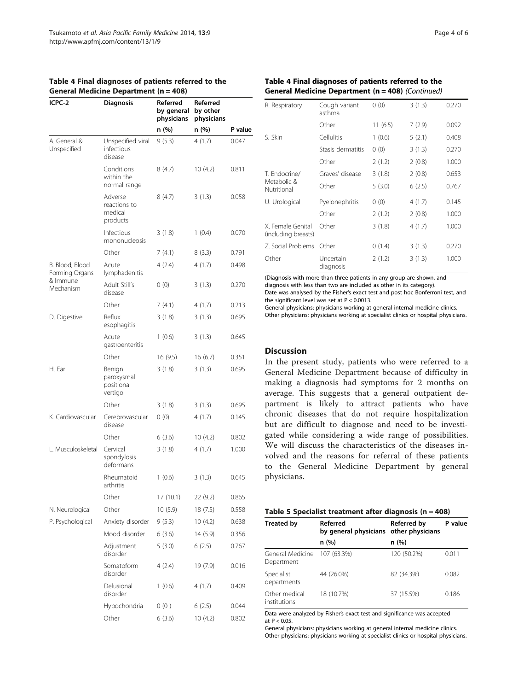| ICPC-2                            | Senerar medicine Department (n – 700)<br><b>Diagnosis</b> | Referred<br>by general<br>physicians | Referred<br>by other<br>physicians |         |
|-----------------------------------|-----------------------------------------------------------|--------------------------------------|------------------------------------|---------|
|                                   |                                                           | n (%)                                | n (%)                              | P value |
| A. General &<br>Unspecified       | Unspecified viral<br>infectious<br>disease                | 9(5.3)                               | 4(1.7)                             | 0.047   |
|                                   | Conditions<br>within the<br>normal range                  | 8(4.7)                               | 10(4.2)                            | 0.811   |
|                                   | Adverse<br>reactions to<br>medical<br>products            | 8(4.7)                               | 3(1.3)                             | 0.058   |
|                                   | Infectious<br>mononucleosis                               | 3(1.8)                               | 1(0.4)                             | 0.070   |
|                                   | Other                                                     | 7(4.1)                               | 8(3.3)                             | 0.791   |
| B. Blood, Blood<br>Forming Organs | Acute<br>lymphadenitis                                    | 4 (2.4)                              | 4(1.7)                             | 0.498   |
| & Immune<br>Mechanism             | Adult Still's<br>disease                                  | 0(0)                                 | 3(1.3)                             | 0.270   |
|                                   | Other                                                     | 7 (4.1)                              | 4(1.7)                             | 0.213   |
| D. Digestive                      | Reflux<br>esophagitis                                     | 3(1.8)                               | 3(1.3)                             | 0.695   |
|                                   | Acute<br>gastroenteritis                                  | 1(0.6)                               | 3(1.3)                             | 0.645   |
|                                   | Other                                                     | 16 (9.5)                             | 16(6.7)                            | 0.351   |
| H. Ear                            | Benign<br>paroxysmal<br>positional<br>vertigo             | 3(1.8)                               | 3(1.3)                             | 0.695   |
|                                   | Other                                                     | 3(1.8)                               | 3(1.3)                             | 0.695   |
| K. Cardiovascular                 | Cerebrovascular<br>disease                                | 0(0)                                 | 4(1.7)                             | 0.145   |
|                                   | Other                                                     | 6 (3.6)                              | 10(4.2)                            | 0.802   |
| L. Musculoskeletal                | Cervical<br>spondylosis<br>deformans                      | 3(1.8)                               | 4(1.7)                             | 1.000   |
|                                   | Rheumatoid<br>arthritis                                   | 1(0.6)                               | 3(1.3)                             | 0.645   |
|                                   | Other                                                     | 17 (10.1)                            | 22 (9.2)                           | 0.865   |
| N. Neurological                   | Other                                                     | 10(5.9)                              | 18 (7.5)                           | 0.558   |
| P. Psychological                  | Anxiety disorder                                          | 9(5.3)                               | 10(4.2)                            | 0.638   |
|                                   | Mood disorder                                             | 6 (3.6)                              | 14 (5.9)                           | 0.356   |
|                                   | Adjustment<br>disorder                                    | 5(3.0)                               | 6(2.5)                             | 0.767   |
|                                   | Somatoform<br>disorder                                    | 4(2.4)                               | 19 (7.9)                           | 0.016   |
|                                   | Delusional<br>disorder                                    | 1(0.6)                               | 4(1.7)                             | 0.409   |
|                                   | Hypochondria                                              | 0(0)                                 | 6(2.5)                             | 0.044   |
|                                   | Other                                                     | 6(3.6)                               | 10(4.2)                            | 0.802   |

#### <span id="page-3-0"></span>Table 4 Final diagnoses of patients referred to the General Medicine Department (n = 408)

# Table 4 Final diagnoses of patients referred to the General Medicine Department (n = 408) (Continued)

| R. Respiratory                           | Cough variant<br>asthma | 0(0)    | 3(1.3) | 0.270 |
|------------------------------------------|-------------------------|---------|--------|-------|
|                                          | Other                   | 11(6.5) | 7(2.9) | 0.092 |
| S. Skin                                  | Cellulitis              | 1(0.6)  | 5(2.1) | 0.408 |
|                                          | Stasis dermatitis       | 0(0)    | 3(1.3) | 0.270 |
|                                          | Other                   | 2(1.2)  | 2(0.8) | 1.000 |
| T. Endocrine/                            | Graves' disease         | 3(1.8)  | 2(0.8) | 0.653 |
| Metabolic &<br>Nutritional               | Other                   | 5(3.0)  | 6(2.5) | 0.767 |
| U. Urological                            | Pyelonephritis          | 0(0)    | 4(1.7) | 0.145 |
|                                          | Other                   | 2(1.2)  | 2(0.8) | 1.000 |
| X. Female Genital<br>(including breasts) | Other                   | 3(1.8)  | 4(1.7) | 1.000 |
| 7. Social Problems                       | Other                   | 0(1.4)  | 3(1.3) | 0.270 |
| Other                                    | Uncertain<br>diagnosis  | 2(1.2)  | 3(1.3) | 1.000 |

(Diagnosis with more than three patients in any group are shown, and diagnosis with less than two are included as other in its category). Date was analysed by the Fisher's exact test and post hoc Bonferroni test, and the significant level was set at P < 0.0013.

General physicians: physicians working at general internal medicine clinics. Other physicians: physicians working at specialist clinics or hospital physicians.

# **Discussion**

In the present study, patients who were referred to a General Medicine Department because of difficulty in making a diagnosis had symptoms for 2 months on average. This suggests that a general outpatient department is likely to attract patients who have chronic diseases that do not require hospitalization but are difficult to diagnose and need to be investigated while considering a wide range of possibilities. We will discuss the characteristics of the diseases involved and the reasons for referral of these patients to the General Medicine Department by general physicians.

| Table 5 Specialist treatment after diagnosis ( $n = 408$ ) |  |  |  |  |  |  |  |
|------------------------------------------------------------|--|--|--|--|--|--|--|
|------------------------------------------------------------|--|--|--|--|--|--|--|

| <b>Treated by</b>              | Referred<br>by general physicians other physicians | <b>Referred by</b> | P value |
|--------------------------------|----------------------------------------------------|--------------------|---------|
|                                | n (%)                                              | n (%)              |         |
| General Medicine<br>Department | 107 (63.3%)                                        | 120 (50.2%)        | 0.011   |
| Specialist<br>departments      | 44 (26.0%)                                         | 82 (34.3%)         | 0.082   |
| Other medical<br>institutions  | 18 (10.7%)                                         | 37 (15.5%)         | 0.186   |

Data were analyzed by Fisher's exact test and significance was accepted at  $P < 0.05$ .

General physicians: physicians working at general internal medicine clinics. Other physicians: physicians working at specialist clinics or hospital physicians.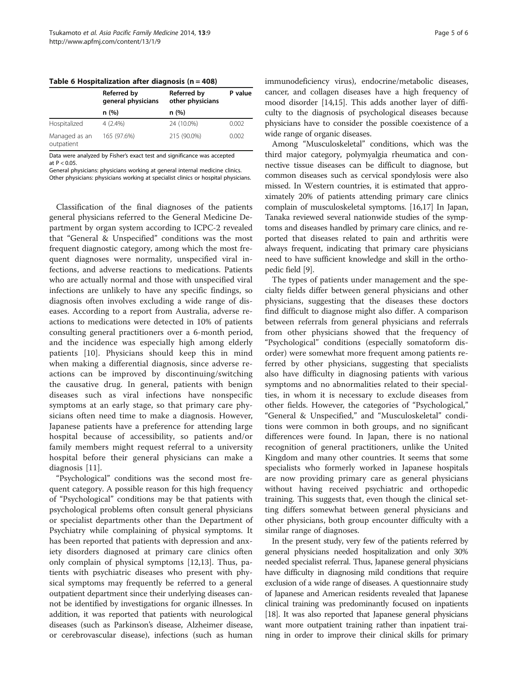|                             | <b>Referred by</b><br>general physicians | <b>Referred by</b><br>other physicians | P value |
|-----------------------------|------------------------------------------|----------------------------------------|---------|
|                             | n(%)                                     | n(%)                                   |         |
| Hospitalized                | $4(2.4\%)$                               | 24 (10.0%)                             | 0.002   |
| Managed as an<br>outpatient | 165 (97.6%)                              | 215 (90.0%)                            | 0.002   |

<span id="page-4-0"></span>Table 6 Hospitalization after diagnosis ( $n = 408$ )

Data were analyzed by Fisher's exact test and significance was accepted at  $P < 0.05$ 

General physicians: physicians working at general internal medicine clinics. Other physicians: physicians working at specialist clinics or hospital physicians.

Classification of the final diagnoses of the patients general physicians referred to the General Medicine Department by organ system according to ICPC-2 revealed that "General & Unspecified" conditions was the most frequent diagnostic category, among which the most frequent diagnoses were normality, unspecified viral infections, and adverse reactions to medications. Patients who are actually normal and those with unspecified viral infections are unlikely to have any specific findings, so diagnosis often involves excluding a wide range of diseases. According to a report from Australia, adverse reactions to medications were detected in 10% of patients consulting general practitioners over a 6-month period, and the incidence was especially high among elderly patients [[10\]](#page-5-0). Physicians should keep this in mind when making a differential diagnosis, since adverse reactions can be improved by discontinuing/switching the causative drug. In general, patients with benign diseases such as viral infections have nonspecific symptoms at an early stage, so that primary care physicians often need time to make a diagnosis. However, Japanese patients have a preference for attending large hospital because of accessibility, so patients and/or family members might request referral to a university hospital before their general physicians can make a diagnosis [[11\]](#page-5-0).

"Psychological" conditions was the second most frequent category. A possible reason for this high frequency of "Psychological" conditions may be that patients with psychological problems often consult general physicians or specialist departments other than the Department of Psychiatry while complaining of physical symptoms. It has been reported that patients with depression and anxiety disorders diagnosed at primary care clinics often only complain of physical symptoms [[12](#page-5-0),[13](#page-5-0)]. Thus, patients with psychiatric diseases who present with physical symptoms may frequently be referred to a general outpatient department since their underlying diseases cannot be identified by investigations for organic illnesses. In addition, it was reported that patients with neurological diseases (such as Parkinson's disease, Alzheimer disease, or cerebrovascular disease), infections (such as human

immunodeficiency virus), endocrine/metabolic diseases, cancer, and collagen diseases have a high frequency of mood disorder [[14,15](#page-5-0)]. This adds another layer of difficulty to the diagnosis of psychological diseases because physicians have to consider the possible coexistence of a wide range of organic diseases.

Among "Musculoskeletal" conditions, which was the third major category, polymyalgia rheumatica and connective tissue diseases can be difficult to diagnose, but common diseases such as cervical spondylosis were also missed. In Western countries, it is estimated that approximately 20% of patients attending primary care clinics complain of musculoskeletal symptoms. [\[16,17](#page-5-0)] In Japan, Tanaka reviewed several nationwide studies of the symptoms and diseases handled by primary care clinics, and reported that diseases related to pain and arthritis were always frequent, indicating that primary care physicians need to have sufficient knowledge and skill in the orthopedic field [[9](#page-5-0)].

The types of patients under management and the specialty fields differ between general physicians and other physicians, suggesting that the diseases these doctors find difficult to diagnose might also differ. A comparison between referrals from general physicians and referrals from other physicians showed that the frequency of "Psychological" conditions (especially somatoform disorder) were somewhat more frequent among patients referred by other physicians, suggesting that specialists also have difficulty in diagnosing patients with various symptoms and no abnormalities related to their specialties, in whom it is necessary to exclude diseases from other fields. However, the categories of "Psychological," "General & Unspecified," and "Musculoskeletal" conditions were common in both groups, and no significant differences were found. In Japan, there is no national recognition of general practitioners, unlike the United Kingdom and many other countries. It seems that some specialists who formerly worked in Japanese hospitals are now providing primary care as general physicians without having received psychiatric and orthopedic training. This suggests that, even though the clinical setting differs somewhat between general physicians and other physicians, both group encounter difficulty with a similar range of diagnoses.

In the present study, very few of the patients referred by general physicians needed hospitalization and only 30% needed specialist referral. Thus, Japanese general physicians have difficulty in diagnosing mild conditions that require exclusion of a wide range of diseases. A questionnaire study of Japanese and American residents revealed that Japanese clinical training was predominantly focused on inpatients [[18](#page-5-0)]. It was also reported that Japanese general physicians want more outpatient training rather than inpatient training in order to improve their clinical skills for primary